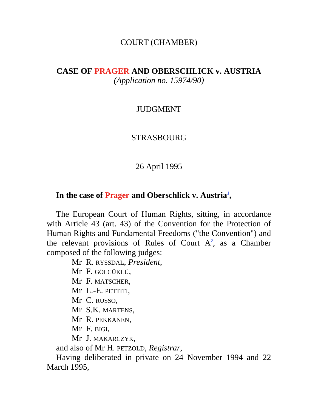### COURT (CHAMBER)

# **CASE OF PRAGER AND OBERSCHLICK v. AUSTRIA**

*(Application no. 15974/90)*

### JUDGMENT

#### STRASBOURG

### 26 April 1995

### In the case of Prager and Oberschlick v. Austria<sup>1</sup>,

The European Court of Human Rights, sitting, in accordance with Article 43 (art. 43) of the Convention for the Protection of Human Rights and Fundamental Freedoms ("the Convention") and the relevant provisions of Rules of Court  $A^2$ , as a Chamber composed of the following judges:

Mr R. RYSSDAL, *President*,

- Mr F. GÖLCÜKLÜ,
- Mr F. MATSCHER,
- Mr L.-E. PETTITI,
- Mr C. RUSSO,
- Mr S.K. MARTENS,
- Mr R. PEKKANEN,
- Mr F. BIGI,
- Mr J. MAKARCZYK,

and also of Mr H. PETZOLD, *Registrar*,

Having deliberated in private on 24 November 1994 and 22 March 1995,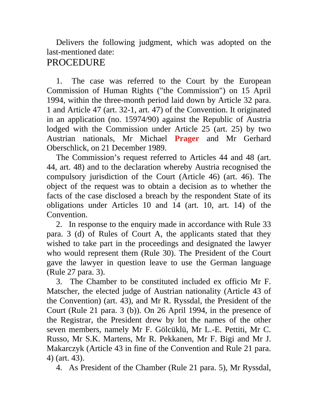Delivers the following judgment, which was adopted on the last-mentioned date:

# PROCEDURE

1. The case was referred to the Court by the European Commission of Human Rights ("the Commission") on 15 April 1994, within the three-month period laid down by Article 32 para. 1 and Article 47 (art. 32-1, art. 47) of the Convention. It originated in an application (no. 15974/90) against the Republic of Austria lodged with the Commission under Article 25 (art. 25) by two Austrian nationals, Mr Michael **Prager** and Mr Gerhard Oberschlick, on 21 December 1989.

The Commission's request referred to Articles 44 and 48 (art. 44, art. 48) and to the declaration whereby Austria recognised the compulsory jurisdiction of the Court (Article 46) (art. 46). The object of the request was to obtain a decision as to whether the facts of the case disclosed a breach by the respondent State of its obligations under Articles 10 and 14 (art. 10, art. 14) of the Convention.

2. In response to the enquiry made in accordance with Rule 33 para. 3 (d) of Rules of Court A, the applicants stated that they wished to take part in the proceedings and designated the lawyer who would represent them (Rule 30). The President of the Court gave the lawyer in question leave to use the German language (Rule 27 para. 3).

3. The Chamber to be constituted included ex officio Mr F. Matscher, the elected judge of Austrian nationality (Article 43 of the Convention) (art. 43), and Mr R. Ryssdal, the President of the Court (Rule 21 para. 3 (b)). On 26 April 1994, in the presence of the Registrar, the President drew by lot the names of the other seven members, namely Mr F. Gölcüklü, Mr L.-E. Pettiti, Mr C. Russo, Mr S.K. Martens, Mr R. Pekkanen, Mr F. Bigi and Mr J. Makarczyk (Article 43 in fine of the Convention and Rule 21 para. 4) (art. 43).

4. As President of the Chamber (Rule 21 para. 5), Mr Ryssdal,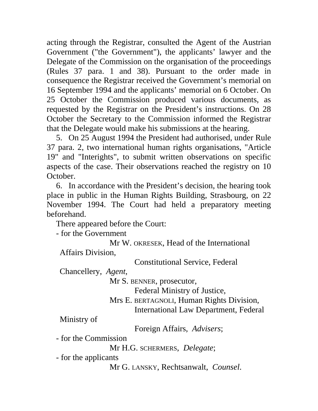acting through the Registrar, consulted the Agent of the Austrian Government ("the Government"), the applicants' lawyer and the Delegate of the Commission on the organisation of the proceedings (Rules 37 para. 1 and 38). Pursuant to the order made in consequence the Registrar received the Government's memorial on 16 September 1994 and the applicants' memorial on 6 October. On 25 October the Commission produced various documents, as requested by the Registrar on the President's instructions. On 28 October the Secretary to the Commission informed the Registrar that the Delegate would make his submissions at the hearing.

5. On 25 August 1994 the President had authorised, under Rule 37 para. 2, two international human rights organisations, "Article 19" and "Interights", to submit written observations on specific aspects of the case. Their observations reached the registry on 10 October.

6. In accordance with the President's decision, the hearing took place in public in the Human Rights Building, Strasbourg, on 22 November 1994. The Court had held a preparatory meeting beforehand.

There appeared before the Court:

- for the Government

Mr W. OKRESEK, Head of the International Affairs Division,

Constitutional Service, Federal

Chancellery, *Agent*,

Mr S. BENNER, prosecutor,

Federal Ministry of Justice,

Mrs E. BERTAGNOLI, Human Rights Division, International Law Department, Federal

Ministry of

Foreign Affairs, *Advisers*;

- for the Commission

Mr H.G. SCHERMERS, *Delegate*;

- for the applicants

Mr G. LANSKY, Rechtsanwalt, *Counsel*.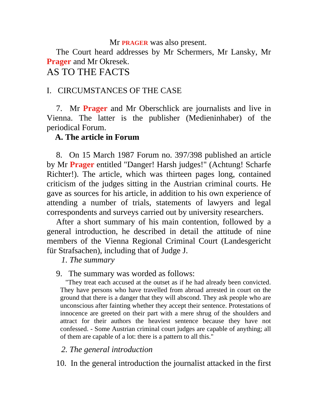### Mr **PRAGER** was also present.

The Court heard addresses by Mr Schermers, Mr Lansky, Mr **Prager** and Mr Okresek.

# AS TO THE FACTS

## I. CIRCUMSTANCES OF THE CASE

7. Mr **Prager** and Mr Oberschlick are journalists and live in Vienna. The latter is the publisher (Medieninhaber) of the periodical Forum.

## **A. The article in Forum**

8. On 15 March 1987 Forum no. 397/398 published an article by Mr **Prager** entitled "Danger! Harsh judges!" (Achtung! Scharfe Richter!). The article, which was thirteen pages long, contained criticism of the judges sitting in the Austrian criminal courts. He gave as sources for his article, in addition to his own experience of attending a number of trials, statements of lawyers and legal correspondents and surveys carried out by university researchers.

After a short summary of his main contention, followed by a general introduction, he described in detail the attitude of nine members of the Vienna Regional Criminal Court (Landesgericht für Strafsachen), including that of Judge J.

*1. The summary*

## 9. The summary was worded as follows:

"They treat each accused at the outset as if he had already been convicted. They have persons who have travelled from abroad arrested in court on the ground that there is a danger that they will abscond. They ask people who are unconscious after fainting whether they accept their sentence. Protestations of innocence are greeted on their part with a mere shrug of the shoulders and attract for their authors the heaviest sentence because they have not confessed. - Some Austrian criminal court judges are capable of anything; all of them are capable of a lot: there is a pattern to all this."

## *2. The general introduction*

10. In the general introduction the journalist attacked in the first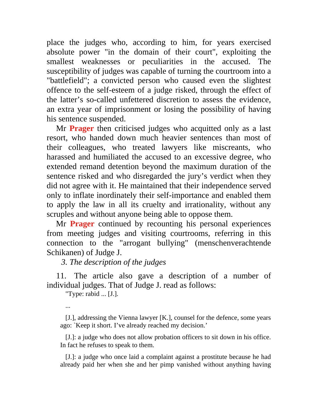place the judges who, according to him, for years exercised absolute power "in the domain of their court", exploiting the smallest weaknesses or peculiarities in the accused. The susceptibility of judges was capable of turning the courtroom into a "battlefield"; a convicted person who caused even the slightest offence to the self-esteem of a judge risked, through the effect of the latter's so-called unfettered discretion to assess the evidence, an extra year of imprisonment or losing the possibility of having his sentence suspended.

Mr **Prager** then criticised judges who acquitted only as a last resort, who handed down much heavier sentences than most of their colleagues, who treated lawyers like miscreants, who harassed and humiliated the accused to an excessive degree, who extended remand detention beyond the maximum duration of the sentence risked and who disregarded the jury's verdict when they did not agree with it. He maintained that their independence served only to inflate inordinately their self-importance and enabled them to apply the law in all its cruelty and irrationality, without any scruples and without anyone being able to oppose them.

Mr **Prager** continued by recounting his personal experiences from meeting judges and visiting courtrooms, referring in this connection to the "arrogant bullying" (menschenverachtende Schikanen) of Judge J.

*3. The description of the judges*

11. The article also gave a description of a number of individual judges. That of Judge J. read as follows:

"Type: rabid ... [J.].

...

[J.], addressing the Vienna lawyer [K.], counsel for the defence, some years ago: `Keep it short. I've already reached my decision.'

[J.]: a judge who does not allow probation officers to sit down in his office. In fact he refuses to speak to them.

[J.]: a judge who once laid a complaint against a prostitute because he had already paid her when she and her pimp vanished without anything having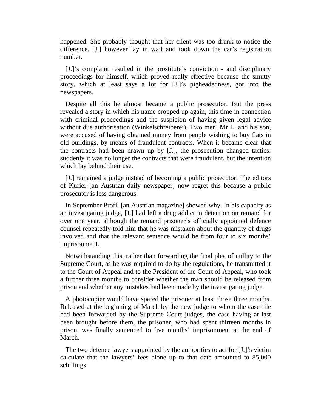happened. She probably thought that her client was too drunk to notice the difference. [J.] however lay in wait and took down the car's registration number.

[J.]'s complaint resulted in the prostitute's conviction - and disciplinary proceedings for himself, which proved really effective because the smutty story, which at least says a lot for [J.]'s pigheadedness, got into the newspapers.

Despite all this he almost became a public prosecutor. But the press revealed a story in which his name cropped up again, this time in connection with criminal proceedings and the suspicion of having given legal advice without due authorisation (Winkelschreiberei). Two men, Mr L. and his son, were accused of having obtained money from people wishing to buy flats in old buildings, by means of fraudulent contracts. When it became clear that the contracts had been drawn up by [J.], the prosecution changed tactics: suddenly it was no longer the contracts that were fraudulent, but the intention which lay behind their use.

[J.] remained a judge instead of becoming a public prosecutor. The editors of Kurier [an Austrian daily newspaper] now regret this because a public prosecutor is less dangerous.

In September Profil [an Austrian magazine] showed why. In his capacity as an investigating judge, [J.] had left a drug addict in detention on remand for over one year, although the remand prisoner's officially appointed defence counsel repeatedly told him that he was mistaken about the quantity of drugs involved and that the relevant sentence would be from four to six months' imprisonment.

Notwithstanding this, rather than forwarding the final plea of nullity to the Supreme Court, as he was required to do by the regulations, he transmitted it to the Court of Appeal and to the President of the Court of Appeal, who took a further three months to consider whether the man should be released from prison and whether any mistakes had been made by the investigating judge.

A photocopier would have spared the prisoner at least those three months. Released at the beginning of March by the new judge to whom the case-file had been forwarded by the Supreme Court judges, the case having at last been brought before them, the prisoner, who had spent thirteen months in prison, was finally sentenced to five months' imprisonment at the end of March.

The two defence lawyers appointed by the authorities to act for [J.]'s victim calculate that the lawyers' fees alone up to that date amounted to 85,000 schillings.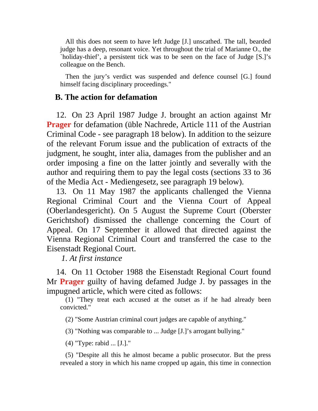All this does not seem to have left Judge [J.] unscathed. The tall, bearded judge has a deep, resonant voice. Yet throughout the trial of Marianne O., the `holiday-thief', a persistent tick was to be seen on the face of Judge [S.]'s colleague on the Bench.

Then the jury's verdict was suspended and defence counsel [G.] found himself facing disciplinary proceedings."

## **B. The action for defamation**

12. On 23 April 1987 Judge J. brought an action against Mr **Prager** for defamation (üble Nachrede, Article 111 of the Austrian Criminal Code - see paragraph 18 below). In addition to the seizure of the relevant Forum issue and the publication of extracts of the judgment, he sought, inter alia, damages from the publisher and an order imposing a fine on the latter jointly and severally with the author and requiring them to pay the legal costs (sections 33 to 36 of the Media Act - Mediengesetz, see paragraph 19 below).

13. On 11 May 1987 the applicants challenged the Vienna Regional Criminal Court and the Vienna Court of Appeal (Oberlandesgericht). On 5 August the Supreme Court (Oberster Gerichtshof) dismissed the challenge concerning the Court of Appeal. On 17 September it allowed that directed against the Vienna Regional Criminal Court and transferred the case to the Eisenstadt Regional Court.

*1. At first instance*

14. On 11 October 1988 the Eisenstadt Regional Court found Mr **Prager** guilty of having defamed Judge J. by passages in the impugned article, which were cited as follows:

(1) "They treat each accused at the outset as if he had already been convicted."

(2) "Some Austrian criminal court judges are capable of anything."

(3) "Nothing was comparable to ... Judge [J.]'s arrogant bullying."

(4) "Type: rabid ... [J.]."

(5) "Despite all this he almost became a public prosecutor. But the press revealed a story in which his name cropped up again, this time in connection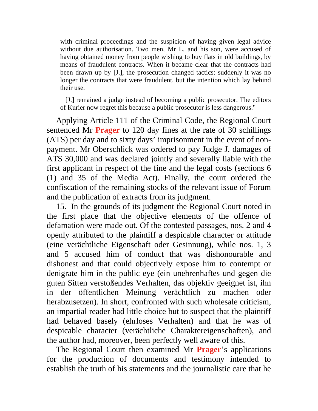with criminal proceedings and the suspicion of having given legal advice without due authorisation. Two men, Mr L. and his son, were accused of having obtained money from people wishing to buy flats in old buildings, by means of fraudulent contracts. When it became clear that the contracts had been drawn up by [J.], the prosecution changed tactics: suddenly it was no longer the contracts that were fraudulent, but the intention which lay behind their use.

[J.] remained a judge instead of becoming a public prosecutor. The editors of Kurier now regret this because a public prosecutor is less dangerous."

Applying Article 111 of the Criminal Code, the Regional Court sentenced Mr **Prager** to 120 day fines at the rate of 30 schillings (ATS) per day and to sixty days' imprisonment in the event of nonpayment. Mr Oberschlick was ordered to pay Judge J. damages of ATS 30,000 and was declared jointly and severally liable with the first applicant in respect of the fine and the legal costs (sections 6 (1) and 35 of the Media Act). Finally, the court ordered the confiscation of the remaining stocks of the relevant issue of Forum and the publication of extracts from its judgment.

15. In the grounds of its judgment the Regional Court noted in the first place that the objective elements of the offence of defamation were made out. Of the contested passages, nos. 2 and 4 openly attributed to the plaintiff a despicable character or attitude (eine verächtliche Eigenschaft oder Gesinnung), while nos. 1, 3 and 5 accused him of conduct that was dishonourable and dishonest and that could objectively expose him to contempt or denigrate him in the public eye (ein unehrenhaftes und gegen die guten Sitten verstoßendes Verhalten, das objektiv geeignet ist, ihn in der öffentlichen Meinung verächtlich zu machen oder herabzusetzen). In short, confronted with such wholesale criticism, an impartial reader had little choice but to suspect that the plaintiff had behaved basely (ehrloses Verhalten) and that he was of despicable character (verächtliche Charaktereigenschaften), and the author had, moreover, been perfectly well aware of this.

The Regional Court then examined Mr **Prager**'s applications for the production of documents and testimony intended to establish the truth of his statements and the journalistic care that he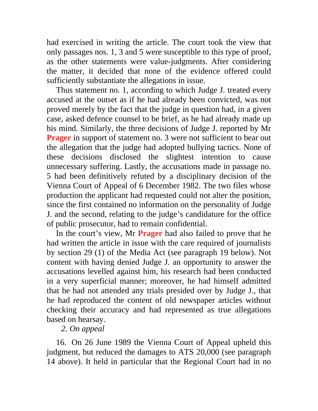had exercised in writing the article. The court took the view that only passages nos. 1, 3 and 5 were susceptible to this type of proof, as the other statements were value-judgments. After considering the matter, it decided that none of the evidence offered could sufficiently substantiate the allegations in issue.

Thus statement no. 1, according to which Judge J. treated every accused at the outset as if he had already been convicted, was not proved merely by the fact that the judge in question had, in a given case, asked defence counsel to be brief, as he had already made up his mind. Similarly, the three decisions of Judge J. reported by Mr **Prager** in support of statement no. 3 were not sufficient to bear out the allegation that the judge had adopted bullying tactics. None of these decisions disclosed the slightest intention to cause unnecessary suffering. Lastly, the accusations made in passage no. 5 had been definitively refuted by a disciplinary decision of the Vienna Court of Appeal of 6 December 1982. The two files whose production the applicant had requested could not alter the position, since the first contained no information on the personality of Judge J. and the second, relating to the judge's candidature for the office of public prosecutor, had to remain confidential.

In the court's view, Mr **Prager** had also failed to prove that he had written the article in issue with the care required of journalists by section 29 (1) of the Media Act (see paragraph 19 below). Not content with having denied Judge J. an opportunity to answer the accusations levelled against him, his research had been conducted in a very superficial manner; moreover, he had himself admitted that he had not attended any trials presided over by Judge J., that he had reproduced the content of old newspaper articles without checking their accuracy and had represented as true allegations based on hearsay.

## *2. On appeal*

16. On 26 June 1989 the Vienna Court of Appeal upheld this judgment, but reduced the damages to ATS 20,000 (see paragraph 14 above). It held in particular that the Regional Court had in no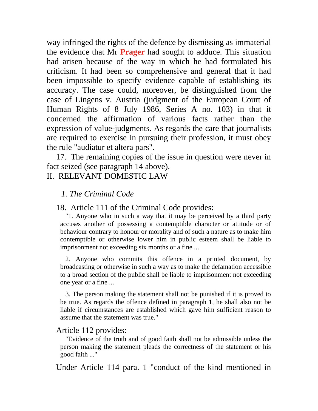way infringed the rights of the defence by dismissing as immaterial the evidence that Mr **Prager** had sought to adduce. This situation had arisen because of the way in which he had formulated his criticism. It had been so comprehensive and general that it had been impossible to specify evidence capable of establishing its accuracy. The case could, moreover, be distinguished from the case of Lingens v. Austria (judgment of the European Court of Human Rights of 8 July 1986, Series A no. 103) in that it concerned the affirmation of various facts rather than the expression of value-judgments. As regards the care that journalists are required to exercise in pursuing their profession, it must obey the rule "audiatur et altera pars".

17. The remaining copies of the issue in question were never in fact seized (see paragraph 14 above).

### II. RELEVANT DOMESTIC LAW

### *1. The Criminal Code*

18. Article 111 of the Criminal Code provides:

"1. Anyone who in such a way that it may be perceived by a third party accuses another of possessing a contemptible character or attitude or of behaviour contrary to honour or morality and of such a nature as to make him contemptible or otherwise lower him in public esteem shall be liable to imprisonment not exceeding six months or a fine ...

2. Anyone who commits this offence in a printed document, by broadcasting or otherwise in such a way as to make the defamation accessible to a broad section of the public shall be liable to imprisonment not exceeding one year or a fine ...

3. The person making the statement shall not be punished if it is proved to be true. As regards the offence defined in paragraph 1, he shall also not be liable if circumstances are established which gave him sufficient reason to assume that the statement was true."

#### Article 112 provides:

"Evidence of the truth and of good faith shall not be admissible unless the person making the statement pleads the correctness of the statement or his good faith ..."

Under Article 114 para. 1 "conduct of the kind mentioned in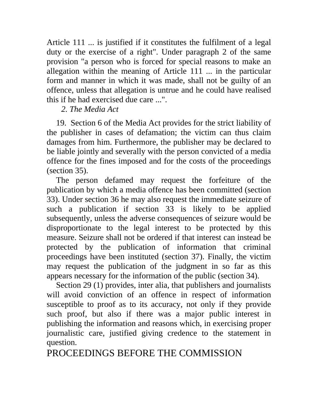Article 111 ... is justified if it constitutes the fulfilment of a legal duty or the exercise of a right". Under paragraph 2 of the same provision "a person who is forced for special reasons to make an allegation within the meaning of Article 111 ... in the particular form and manner in which it was made, shall not be guilty of an offence, unless that allegation is untrue and he could have realised this if he had exercised due care ...".

## *2. The Media Act*

19. Section 6 of the Media Act provides for the strict liability of the publisher in cases of defamation; the victim can thus claim damages from him. Furthermore, the publisher may be declared to be liable jointly and severally with the person convicted of a media offence for the fines imposed and for the costs of the proceedings (section 35).

The person defamed may request the forfeiture of the publication by which a media offence has been committed (section 33). Under section 36 he may also request the immediate seizure of such a publication if section 33 is likely to be applied subsequently, unless the adverse consequences of seizure would be disproportionate to the legal interest to be protected by this measure. Seizure shall not be ordered if that interest can instead be protected by the publication of information that criminal proceedings have been instituted (section 37). Finally, the victim may request the publication of the judgment in so far as this appears necessary for the information of the public (section 34).

Section 29 (1) provides, inter alia, that publishers and journalists will avoid conviction of an offence in respect of information susceptible to proof as to its accuracy, not only if they provide such proof, but also if there was a major public interest in publishing the information and reasons which, in exercising proper journalistic care, justified giving credence to the statement in question.

# PROCEEDINGS BEFORE THE COMMISSION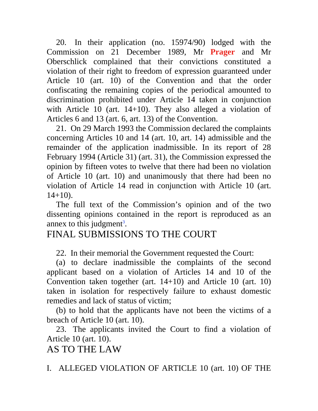20. In their application (no. 15974/90) lodged with the Commission on 21 December 1989, Mr **Prager** and Mr Oberschlick complained that their convictions constituted a violation of their right to freedom of expression guaranteed under Article 10 (art. 10) of the Convention and that the order confiscating the remaining copies of the periodical amounted to discrimination prohibited under Article 14 taken in conjunction with Article 10 (art. 14+10). They also alleged a violation of Articles 6 and 13 (art. 6, art. 13) of the Convention.

21. On 29 March 1993 the Commission declared the complaints concerning Articles 10 and 14 (art. 10, art. 14) admissible and the remainder of the application inadmissible. In its report of 28 February 1994 (Article 31) (art. 31), the Commission expressed the opinion by fifteen votes to twelve that there had been no violation of Article 10 (art. 10) and unanimously that there had been no violation of Article 14 read in conjunction with Article 10 (art.  $14+10$ ).

The full text of the Commission's opinion and of the two dissenting opinions contained in the report is reproduced as an annex to this judgment<sup>3</sup>.

# FINAL SUBMISSIONS TO THE COURT

22. In their memorial the Government requested the Court:

(a) to declare inadmissible the complaints of the second applicant based on a violation of Articles 14 and 10 of the Convention taken together (art. 14+10) and Article 10 (art. 10) taken in isolation for respectively failure to exhaust domestic remedies and lack of status of victim;

(b) to hold that the applicants have not been the victims of a breach of Article 10 (art. 10).

23. The applicants invited the Court to find a violation of Article 10 (art. 10).

# AS TO THE LAW

I. ALLEGED VIOLATION OF ARTICLE 10 (art. 10) OF THE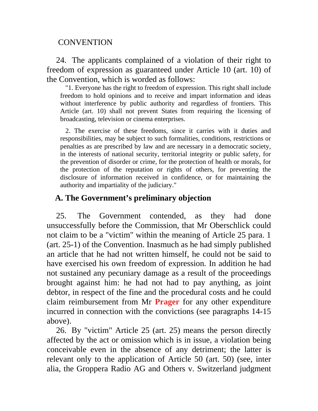### **CONVENTION**

24. The applicants complained of a violation of their right to freedom of expression as guaranteed under Article 10 (art. 10) of the Convention, which is worded as follows:

"1. Everyone has the right to freedom of expression. This right shall include freedom to hold opinions and to receive and impart information and ideas without interference by public authority and regardless of frontiers. This Article (art. 10) shall not prevent States from requiring the licensing of broadcasting, television or cinema enterprises.

2. The exercise of these freedoms, since it carries with it duties and responsibilities, may be subject to such formalities, conditions, restrictions or penalties as are prescribed by law and are necessary in a democratic society, in the interests of national security, territorial integrity or public safety, for the prevention of disorder or crime, for the protection of health or morals, for the protection of the reputation or rights of others, for preventing the disclosure of information received in confidence, or for maintaining the authority and impartiality of the judiciary."

## **A. The Government's preliminary objection**

25. The Government contended, as they had done unsuccessfully before the Commission, that Mr Oberschlick could not claim to be a "victim" within the meaning of Article 25 para. 1 (art. 25-1) of the Convention. Inasmuch as he had simply published an article that he had not written himself, he could not be said to have exercised his own freedom of expression. In addition he had not sustained any pecuniary damage as a result of the proceedings brought against him: he had not had to pay anything, as joint debtor, in respect of the fine and the procedural costs and he could claim reimbursement from Mr **Prager** for any other expenditure incurred in connection with the convictions (see paragraphs 14-15 above).

26. By "victim" Article 25 (art. 25) means the person directly affected by the act or omission which is in issue, a violation being conceivable even in the absence of any detriment; the latter is relevant only to the application of Article 50 (art. 50) (see, inter alia, the Groppera Radio AG and Others v. Switzerland judgment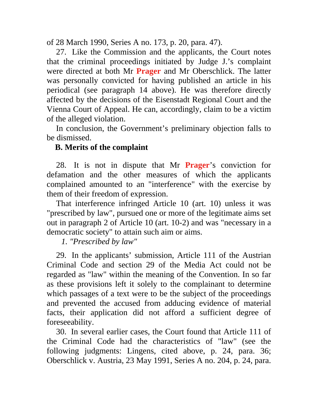of 28 March 1990, Series A no. 173, p. 20, para. 47).

27. Like the Commission and the applicants, the Court notes that the criminal proceedings initiated by Judge J.'s complaint were directed at both Mr **Prager** and Mr Oberschlick. The latter was personally convicted for having published an article in his periodical (see paragraph 14 above). He was therefore directly affected by the decisions of the Eisenstadt Regional Court and the Vienna Court of Appeal. He can, accordingly, claim to be a victim of the alleged violation.

In conclusion, the Government's preliminary objection falls to be dismissed.

## **B. Merits of the complaint**

28. It is not in dispute that Mr **Prager**'s conviction for defamation and the other measures of which the applicants complained amounted to an "interference" with the exercise by them of their freedom of expression.

That interference infringed Article 10 (art. 10) unless it was "prescribed by law", pursued one or more of the legitimate aims set out in paragraph 2 of Article 10 (art. 10-2) and was "necessary in a democratic society" to attain such aim or aims.

*1. "Prescribed by law"*

29. In the applicants' submission, Article 111 of the Austrian Criminal Code and section 29 of the Media Act could not be regarded as "law" within the meaning of the Convention. In so far as these provisions left it solely to the complainant to determine which passages of a text were to be the subject of the proceedings and prevented the accused from adducing evidence of material facts, their application did not afford a sufficient degree of foreseeability.

30. In several earlier cases, the Court found that Article 111 of the Criminal Code had the characteristics of "law" (see the following judgments: Lingens, cited above, p. 24, para. 36; Oberschlick v. Austria, 23 May 1991, Series A no. 204, p. 24, para.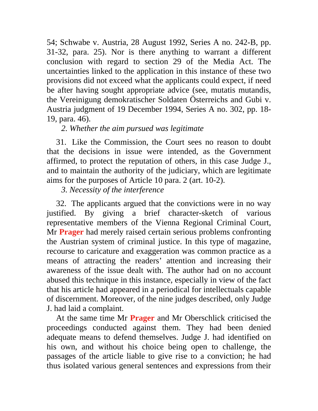54; Schwabe v. Austria, 28 August 1992, Series A no. 242-B, pp. 31-32, para. 25). Nor is there anything to warrant a different conclusion with regard to section 29 of the Media Act. The uncertainties linked to the application in this instance of these two provisions did not exceed what the applicants could expect, if need be after having sought appropriate advice (see, mutatis mutandis, the Vereinigung demokratischer Soldaten Österreichs and Gubi v. Austria judgment of 19 December 1994, Series A no. 302, pp. 18- 19, para. 46).

## *2. Whether the aim pursued was legitimate*

31. Like the Commission, the Court sees no reason to doubt that the decisions in issue were intended, as the Government affirmed, to protect the reputation of others, in this case Judge J., and to maintain the authority of the judiciary, which are legitimate aims for the purposes of Article 10 para. 2 (art. 10-2).

*3. Necessity of the interference*

32. The applicants argued that the convictions were in no way justified. By giving a brief character-sketch of various representative members of the Vienna Regional Criminal Court, Mr **Prager** had merely raised certain serious problems confronting the Austrian system of criminal justice. In this type of magazine, recourse to caricature and exaggeration was common practice as a means of attracting the readers' attention and increasing their awareness of the issue dealt with. The author had on no account abused this technique in this instance, especially in view of the fact that his article had appeared in a periodical for intellectuals capable of discernment. Moreover, of the nine judges described, only Judge J. had laid a complaint.

At the same time Mr **Prager** and Mr Oberschlick criticised the proceedings conducted against them. They had been denied adequate means to defend themselves. Judge J. had identified on his own, and without his choice being open to challenge, the passages of the article liable to give rise to a conviction; he had thus isolated various general sentences and expressions from their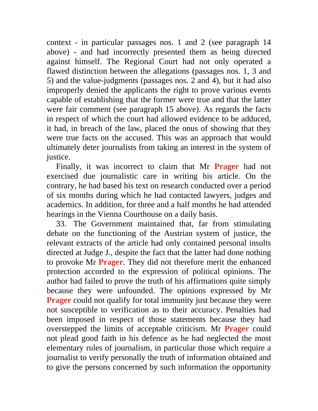context - in particular passages nos. 1 and 2 (see paragraph 14 above) - and had incorrectly presented them as being directed against himself. The Regional Court had not only operated a flawed distinction between the allegations (passages nos. 1, 3 and 5) and the value-judgments (passages nos. 2 and 4), but it had also improperly denied the applicants the right to prove various events capable of establishing that the former were true and that the latter were fair comment (see paragraph 15 above). As regards the facts in respect of which the court had allowed evidence to be adduced, it had, in breach of the law, placed the onus of showing that they were true facts on the accused. This was an approach that would ultimately deter journalists from taking an interest in the system of justice.

Finally, it was incorrect to claim that Mr **Prager** had not exercised due journalistic care in writing his article. On the contrary, he had based his text on research conducted over a period of six months during which he had contacted lawyers, judges and academics. In addition, for three and a half months he had attended hearings in the Vienna Courthouse on a daily basis.

33. The Government maintained that, far from stimulating debate on the functioning of the Austrian system of justice, the relevant extracts of the article had only contained personal insults directed at Judge J., despite the fact that the latter had done nothing to provoke Mr **Prager**. They did not therefore merit the enhanced protection accorded to the expression of political opinions. The author had failed to prove the truth of his affirmations quite simply because they were unfounded. The opinions expressed by Mr **Prager** could not qualify for total immunity just because they were not susceptible to verification as to their accuracy. Penalties had been imposed in respect of those statements because they had overstepped the limits of acceptable criticism. Mr **Prager** could not plead good faith in his defence as he had neglected the most elementary rules of journalism, in particular those which require a journalist to verify personally the truth of information obtained and to give the persons concerned by such information the opportunity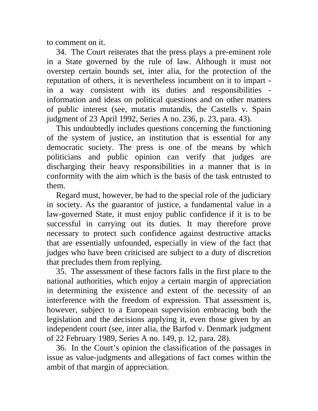to comment on it.

34. The Court reiterates that the press plays a pre-eminent role in a State governed by the rule of law. Although it must not overstep certain bounds set, inter alia, for the protection of the reputation of others, it is nevertheless incumbent on it to impart in a way consistent with its duties and responsibilities information and ideas on political questions and on other matters of public interest (see, mutatis mutandis, the Castells v. Spain judgment of 23 April 1992, Series A no. 236, p. 23, para. 43).

This undoubtedly includes questions concerning the functioning of the system of justice, an institution that is essential for any democratic society. The press is one of the means by which politicians and public opinion can verify that judges are discharging their heavy responsibilities in a manner that is in conformity with the aim which is the basis of the task entrusted to them.

Regard must, however, be had to the special role of the judiciary in society. As the guarantor of justice, a fundamental value in a law-governed State, it must enjoy public confidence if it is to be successful in carrying out its duties. It may therefore prove necessary to protect such confidence against destructive attacks that are essentially unfounded, especially in view of the fact that judges who have been criticised are subject to a duty of discretion that precludes them from replying.

35. The assessment of these factors falls in the first place to the national authorities, which enjoy a certain margin of appreciation in determining the existence and extent of the necessity of an interference with the freedom of expression. That assessment is, however, subject to a European supervision embracing both the legislation and the decisions applying it, even those given by an independent court (see, inter alia, the Barfod v. Denmark judgment of 22 February 1989, Series A no. 149, p. 12, para. 28).

36. In the Court's opinion the classification of the passages in issue as value-judgments and allegations of fact comes within the ambit of that margin of appreciation.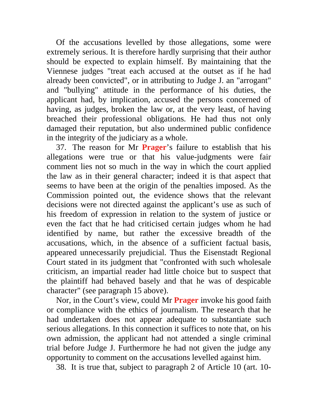Of the accusations levelled by those allegations, some were extremely serious. It is therefore hardly surprising that their author should be expected to explain himself. By maintaining that the Viennese judges "treat each accused at the outset as if he had already been convicted", or in attributing to Judge J. an "arrogant" and "bullying" attitude in the performance of his duties, the applicant had, by implication, accused the persons concerned of having, as judges, broken the law or, at the very least, of having breached their professional obligations. He had thus not only damaged their reputation, but also undermined public confidence in the integrity of the judiciary as a whole.

37. The reason for Mr **Prager**'s failure to establish that his allegations were true or that his value-judgments were fair comment lies not so much in the way in which the court applied the law as in their general character; indeed it is that aspect that seems to have been at the origin of the penalties imposed. As the Commission pointed out, the evidence shows that the relevant decisions were not directed against the applicant's use as such of his freedom of expression in relation to the system of justice or even the fact that he had criticised certain judges whom he had identified by name, but rather the excessive breadth of the accusations, which, in the absence of a sufficient factual basis, appeared unnecessarily prejudicial. Thus the Eisenstadt Regional Court stated in its judgment that "confronted with such wholesale criticism, an impartial reader had little choice but to suspect that the plaintiff had behaved basely and that he was of despicable character" (see paragraph 15 above).

Nor, in the Court's view, could Mr **Prager** invoke his good faith or compliance with the ethics of journalism. The research that he had undertaken does not appear adequate to substantiate such serious allegations. In this connection it suffices to note that, on his own admission, the applicant had not attended a single criminal trial before Judge J. Furthermore he had not given the judge any opportunity to comment on the accusations levelled against him.

38. It is true that, subject to paragraph 2 of Article 10 (art. 10-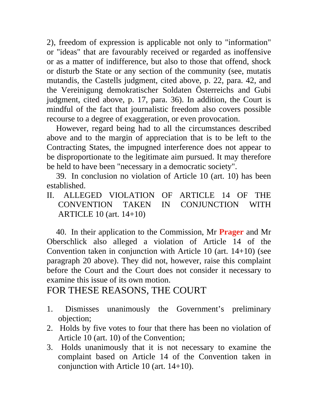2), freedom of expression is applicable not only to "information" or "ideas" that are favourably received or regarded as inoffensive or as a matter of indifference, but also to those that offend, shock or disturb the State or any section of the community (see, mutatis mutandis, the Castells judgment, cited above, p. 22, para. 42, and the Vereinigung demokratischer Soldaten Österreichs and Gubi judgment, cited above, p. 17, para. 36). In addition, the Court is mindful of the fact that journalistic freedom also covers possible recourse to a degree of exaggeration, or even provocation.

However, regard being had to all the circumstances described above and to the margin of appreciation that is to be left to the Contracting States, the impugned interference does not appear to be disproportionate to the legitimate aim pursued. It may therefore be held to have been "necessary in a democratic society".

39. In conclusion no violation of Article 10 (art. 10) has been established.

II. ALLEGED VIOLATION OF ARTICLE 14 OF THE CONVENTION TAKEN IN CONJUNCTION WITH ARTICLE 10 (art. 14+10)

40. In their application to the Commission, Mr **Prager** and Mr Oberschlick also alleged a violation of Article 14 of the Convention taken in conjunction with Article 10 (art. 14+10) (see paragraph 20 above). They did not, however, raise this complaint before the Court and the Court does not consider it necessary to examine this issue of its own motion.

# FOR THESE REASONS, THE COURT

- 1. Dismisses unanimously the Government's preliminary objection;
- 2. Holds by five votes to four that there has been no violation of Article 10 (art. 10) of the Convention;
- 3. Holds unanimously that it is not necessary to examine the complaint based on Article 14 of the Convention taken in conjunction with Article 10 (art. 14+10).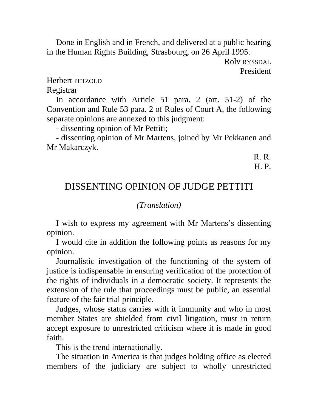Done in English and in French, and delivered at a public hearing in the Human Rights Building, Strasbourg, on 26 April 1995.

> Rolv RYSSDAL President

### Herbert PETZOLD

Registrar

In accordance with Article 51 para. 2 (art. 51-2) of the Convention and Rule 53 para. 2 of Rules of Court A, the following separate opinions are annexed to this judgment:

- dissenting opinion of Mr Pettiti;

- dissenting opinion of Mr Martens, joined by Mr Pekkanen and Mr Makarczyk.

R. R.

H. P.

# DISSENTING OPINION OF JUDGE PETTITI

### *(Translation)*

I wish to express my agreement with Mr Martens's dissenting opinion.

I would cite in addition the following points as reasons for my opinion.

Journalistic investigation of the functioning of the system of justice is indispensable in ensuring verification of the protection of the rights of individuals in a democratic society. It represents the extension of the rule that proceedings must be public, an essential feature of the fair trial principle.

Judges, whose status carries with it immunity and who in most member States are shielded from civil litigation, must in return accept exposure to unrestricted criticism where it is made in good faith.

This is the trend internationally.

The situation in America is that judges holding office as elected members of the judiciary are subject to wholly unrestricted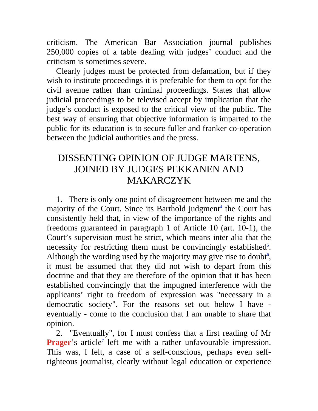criticism. The American Bar Association journal publishes 250,000 copies of a table dealing with judges' conduct and the criticism is sometimes severe.

Clearly judges must be protected from defamation, but if they wish to institute proceedings it is preferable for them to opt for the civil avenue rather than criminal proceedings. States that allow judicial proceedings to be televised accept by implication that the judge's conduct is exposed to the critical view of the public. The best way of ensuring that objective information is imparted to the public for its education is to secure fuller and franker co-operation between the judicial authorities and the press.

# DISSENTING OPINION OF JUDGE MARTENS, JOINED BY JUDGES PEKKANEN AND MAKARCZYK

1. There is only one point of disagreement between me and the majority of the Court. Since its Barthold judgment<sup>4</sup> the Court has consistently held that, in view of the importance of the rights and freedoms guaranteed in paragraph 1 of Article 10 (art. 10-1), the Court's supervision must be strict, which means inter alia that the necessity for restricting them must be convincingly established<sup>5</sup>. Although the wording used by the majority may give rise to doubt<sup>6</sup>, it must be assumed that they did not wish to depart from this doctrine and that they are therefore of the opinion that it has been established convincingly that the impugned interference with the applicants' right to freedom of expression was "necessary in a democratic society". For the reasons set out below I have eventually - come to the conclusion that I am unable to share that opinion.

2. "Eventually", for I must confess that a first reading of Mr **Prager**'s article<sup>7</sup> left me with a rather unfavourable impression. This was, I felt, a case of a self-conscious, perhaps even selfrighteous journalist, clearly without legal education or experience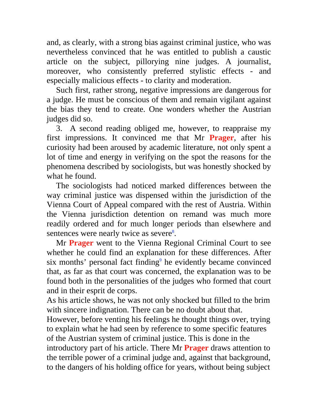and, as clearly, with a strong bias against criminal justice, who was nevertheless convinced that he was entitled to publish a caustic article on the subject, pillorying nine judges. A journalist, moreover, who consistently preferred stylistic effects - and especially malicious effects - to clarity and moderation.

Such first, rather strong, negative impressions are dangerous for a judge. He must be conscious of them and remain vigilant against the bias they tend to create. One wonders whether the Austrian judges did so.

3. A second reading obliged me, however, to reappraise my first impressions. It convinced me that Mr **Prager**, after his curiosity had been aroused by academic literature, not only spent a lot of time and energy in verifying on the spot the reasons for the phenomena described by sociologists, but was honestly shocked by what he found.

The sociologists had noticed marked differences between the way criminal justice was dispensed within the jurisdiction of the Vienna Court of Appeal compared with the rest of Austria. Within the Vienna jurisdiction detention on remand was much more readily ordered and for much longer periods than elsewhere and sentences were nearly twice as severe<sup>8</sup>.

Mr **Prager** went to the Vienna Regional Criminal Court to see whether he could find an explanation for these differences. After six months' personal fact finding<sup>9</sup> he evidently became convinced that, as far as that court was concerned, the explanation was to be found both in the personalities of the judges who formed that court and in their esprit de corps.

As his article shows, he was not only shocked but filled to the brim with sincere indignation. There can be no doubt about that.

However, before venting his feelings he thought things over, trying to explain what he had seen by reference to some specific features of the Austrian system of criminal justice. This is done in the introductory part of his article. There Mr **Prager** draws attention to the terrible power of a criminal judge and, against that background, to the dangers of his holding office for years, without being subject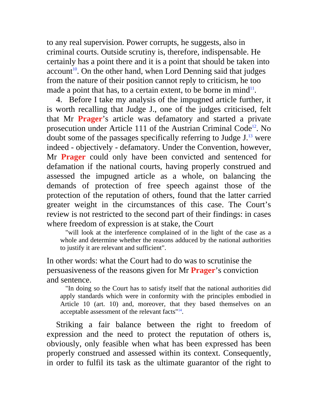to any real supervision. Power corrupts, he suggests, also in criminal courts. Outside scrutiny is, therefore, indispensable. He certainly has a point there and it is a point that should be taken into  $account<sup>10</sup>$ . On the other hand, when Lord Denning said that judges from the nature of their position cannot reply to criticism, he too made a point that has, to a certain extent, to be borne in mind $11$ .

4. Before I take my analysis of the impugned article further, it is worth recalling that Judge J., one of the judges criticised, felt that Mr **Prager**'s article was defamatory and started a private prosecution under Article 111 of the Austrian Criminal Code<sup>12</sup>. No doubt some of the passages specifically referring to Judge J.13 were indeed - objectively - defamatory. Under the Convention, however, Mr **Prager** could only have been convicted and sentenced for defamation if the national courts, having properly construed and assessed the impugned article as a whole, on balancing the demands of protection of free speech against those of the protection of the reputation of others, found that the latter carried greater weight in the circumstances of this case. The Court's review is not restricted to the second part of their findings: in cases where freedom of expression is at stake, the Court

"will look at the interference complained of in the light of the case as a whole and determine whether the reasons adduced by the national authorities to justify it are relevant and sufficient".

In other words: what the Court had to do was to scrutinise the persuasiveness of the reasons given for Mr **Prager**'s conviction and sentence.

"In doing so the Court has to satisfy itself that the national authorities did apply standards which were in conformity with the principles embodied in Article 10 (art. 10) and, moreover, that they based themselves on an acceptable assessment of the relevant facts"14.

Striking a fair balance between the right to freedom of expression and the need to protect the reputation of others is, obviously, only feasible when what has been expressed has been properly construed and assessed within its context. Consequently, in order to fulfil its task as the ultimate guarantor of the right to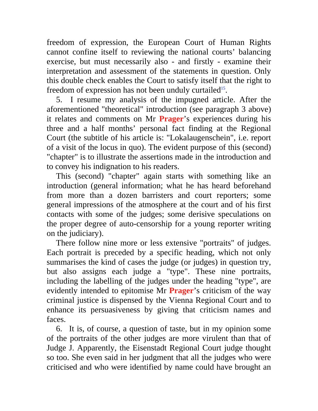freedom of expression, the European Court of Human Rights cannot confine itself to reviewing the national courts' balancing exercise, but must necessarily also - and firstly - examine their interpretation and assessment of the statements in question. Only this double check enables the Court to satisfy itself that the right to freedom of expression has not been unduly curtailed<sup>15</sup>.

5. I resume my analysis of the impugned article. After the aforementioned "theoretical" introduction (see paragraph 3 above) it relates and comments on Mr **Prager**'s experiences during his three and a half months' personal fact finding at the Regional Court (the subtitle of his article is: "Lokalaugenschein", i.e. report of a visit of the locus in quo). The evident purpose of this (second) "chapter" is to illustrate the assertions made in the introduction and to convey his indignation to his readers.

This (second) "chapter" again starts with something like an introduction (general information; what he has heard beforehand from more than a dozen barristers and court reporters; some general impressions of the atmosphere at the court and of his first contacts with some of the judges; some derisive speculations on the proper degree of auto-censorship for a young reporter writing on the judiciary).

There follow nine more or less extensive "portraits" of judges. Each portrait is preceded by a specific heading, which not only summarises the kind of cases the judge (or judges) in question try, but also assigns each judge a "type". These nine portraits, including the labelling of the judges under the heading "type", are evidently intended to epitomise Mr **Prager**'s criticism of the way criminal justice is dispensed by the Vienna Regional Court and to enhance its persuasiveness by giving that criticism names and faces.

6. It is, of course, a question of taste, but in my opinion some of the portraits of the other judges are more virulent than that of Judge J. Apparently, the Eisenstadt Regional Court judge thought so too. She even said in her judgment that all the judges who were criticised and who were identified by name could have brought an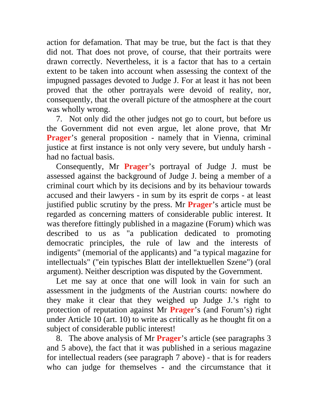action for defamation. That may be true, but the fact is that they did not. That does not prove, of course, that their portraits were drawn correctly. Nevertheless, it is a factor that has to a certain extent to be taken into account when assessing the context of the impugned passages devoted to Judge J. For at least it has not been proved that the other portrayals were devoid of reality, nor, consequently, that the overall picture of the atmosphere at the court was wholly wrong.

7. Not only did the other judges not go to court, but before us the Government did not even argue, let alone prove, that Mr **Prager**'s general proposition - namely that in Vienna, criminal justice at first instance is not only very severe, but unduly harsh had no factual basis.

Consequently, Mr **Prager**'s portrayal of Judge J. must be assessed against the background of Judge J. being a member of a criminal court which by its decisions and by its behaviour towards accused and their lawyers - in sum by its esprit de corps - at least justified public scrutiny by the press. Mr **Prager**'s article must be regarded as concerning matters of considerable public interest. It was therefore fittingly published in a magazine (Forum) which was described to us as "a publication dedicated to promoting democratic principles, the rule of law and the interests of indigents" (memorial of the applicants) and "a typical magazine for intellectuals" ("ein typisches Blatt der intellektuellen Szene") (oral argument). Neither description was disputed by the Government.

Let me say at once that one will look in vain for such an assessment in the judgments of the Austrian courts: nowhere do they make it clear that they weighed up Judge J.'s right to protection of reputation against Mr **Prager**'s (and Forum's) right under Article 10 (art. 10) to write as critically as he thought fit on a subject of considerable public interest!

8. The above analysis of Mr **Prager**'s article (see paragraphs 3 and 5 above), the fact that it was published in a serious magazine for intellectual readers (see paragraph 7 above) - that is for readers who can judge for themselves - and the circumstance that it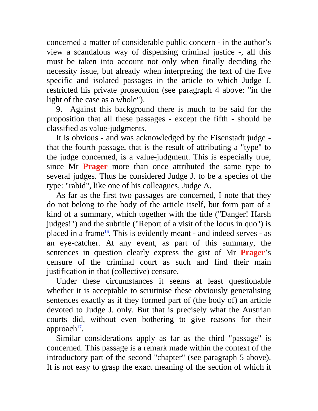concerned a matter of considerable public concern - in the author's view a scandalous way of dispensing criminal justice -, all this must be taken into account not only when finally deciding the necessity issue, but already when interpreting the text of the five specific and isolated passages in the article to which Judge J. restricted his private prosecution (see paragraph 4 above: "in the light of the case as a whole").

9. Against this background there is much to be said for the proposition that all these passages - except the fifth - should be classified as value-judgments.

It is obvious - and was acknowledged by the Eisenstadt judge that the fourth passage, that is the result of attributing a "type" to the judge concerned, is a value-judgment. This is especially true, since Mr **Prager** more than once attributed the same type to several judges. Thus he considered Judge J. to be a species of the type: "rabid", like one of his colleagues, Judge A.

As far as the first two passages are concerned, I note that they do not belong to the body of the article itself, but form part of a kind of a summary, which together with the title ("Danger! Harsh judges!") and the subtitle ("Report of a visit of the locus in quo") is placed in a frame<sup>16</sup>. This is evidently meant - and indeed serves - as an eye-catcher. At any event, as part of this summary, the sentences in question clearly express the gist of Mr **Prager**'s censure of the criminal court as such and find their main justification in that (collective) censure.

Under these circumstances it seems at least questionable whether it is acceptable to scrutinise these obviously generalising sentences exactly as if they formed part of (the body of) an article devoted to Judge J. only. But that is precisely what the Austrian courts did, without even bothering to give reasons for their approach $17$ .

Similar considerations apply as far as the third "passage" is concerned. This passage is a remark made within the context of the introductory part of the second "chapter" (see paragraph 5 above). It is not easy to grasp the exact meaning of the section of which it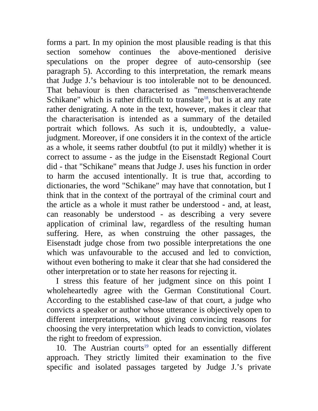forms a part. In my opinion the most plausible reading is that this section somehow continues the above-mentioned derisive speculations on the proper degree of auto-censorship (see paragraph 5). According to this interpretation, the remark means that Judge J.'s behaviour is too intolerable not to be denounced. That behaviour is then characterised as "menschenverachtende Schikane" which is rather difficult to translate<sup>18</sup>, but is at any rate rather denigrating. A note in the text, however, makes it clear that the characterisation is intended as a summary of the detailed portrait which follows. As such it is, undoubtedly, a valuejudgment. Moreover, if one considers it in the context of the article as a whole, it seems rather doubtful (to put it mildly) whether it is correct to assume - as the judge in the Eisenstadt Regional Court did - that "Schikane" means that Judge J. uses his function in order to harm the accused intentionally. It is true that, according to dictionaries, the word "Schikane" may have that connotation, but I think that in the context of the portrayal of the criminal court and the article as a whole it must rather be understood - and, at least, can reasonably be understood - as describing a very severe application of criminal law, regardless of the resulting human suffering. Here, as when construing the other passages, the Eisenstadt judge chose from two possible interpretations the one which was unfavourable to the accused and led to conviction, without even bothering to make it clear that she had considered the other interpretation or to state her reasons for rejecting it.

I stress this feature of her judgment since on this point I wholeheartedly agree with the German Constitutional Court. According to the established case-law of that court, a judge who convicts a speaker or author whose utterance is objectively open to different interpretations, without giving convincing reasons for choosing the very interpretation which leads to conviction, violates the right to freedom of expression.

10. The Austrian courts<sup>19</sup> opted for an essentially different approach. They strictly limited their examination to the five specific and isolated passages targeted by Judge J.'s private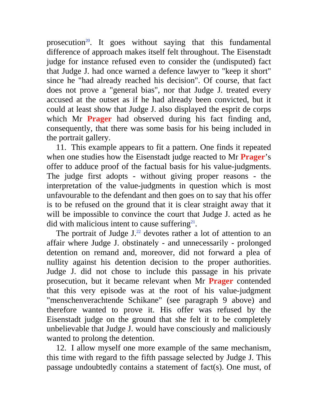prosecution<sup>20</sup>. It goes without saying that this fundamental difference of approach makes itself felt throughout. The Eisenstadt judge for instance refused even to consider the (undisputed) fact that Judge J. had once warned a defence lawyer to "keep it short" since he "had already reached his decision". Of course, that fact does not prove a "general bias", nor that Judge J. treated every accused at the outset as if he had already been convicted, but it could at least show that Judge J. also displayed the esprit de corps which Mr **Prager** had observed during his fact finding and, consequently, that there was some basis for his being included in the portrait gallery.

11. This example appears to fit a pattern. One finds it repeated when one studies how the Eisenstadt judge reacted to Mr **Prager**'s offer to adduce proof of the factual basis for his value-judgments. The judge first adopts - without giving proper reasons - the interpretation of the value-judgments in question which is most unfavourable to the defendant and then goes on to say that his offer is to be refused on the ground that it is clear straight away that it will be impossible to convince the court that Judge J. acted as he did with malicious intent to cause suffering $2^1$ .

The portrait of Judge  $J^{22}$  devotes rather a lot of attention to an affair where Judge J. obstinately - and unnecessarily - prolonged detention on remand and, moreover, did not forward a plea of nullity against his detention decision to the proper authorities. Judge J. did not chose to include this passage in his private prosecution, but it became relevant when Mr **Prager** contended that this very episode was at the root of his value-judgment "menschenverachtende Schikane" (see paragraph 9 above) and therefore wanted to prove it. His offer was refused by the Eisenstadt judge on the ground that she felt it to be completely unbelievable that Judge J. would have consciously and maliciously wanted to prolong the detention.

12. I allow myself one more example of the same mechanism, this time with regard to the fifth passage selected by Judge J. This passage undoubtedly contains a statement of fact(s). One must, of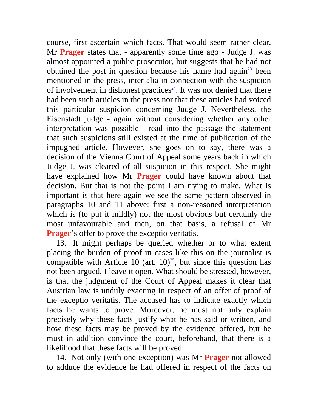course, first ascertain which facts. That would seem rather clear. Mr **Prager** states that - apparently some time ago - Judge J. was almost appointed a public prosecutor, but suggests that he had not obtained the post in question because his name had again<sup>23</sup> been mentioned in the press, inter alia in connection with the suspicion of involvement in dishonest practices<sup>24</sup>. It was not denied that there had been such articles in the press nor that these articles had voiced this particular suspicion concerning Judge J. Nevertheless, the Eisenstadt judge - again without considering whether any other interpretation was possible - read into the passage the statement that such suspicions still existed at the time of publication of the impugned article. However, she goes on to say, there was a decision of the Vienna Court of Appeal some years back in which Judge J. was cleared of all suspicion in this respect. She might have explained how Mr **Prager** could have known about that decision. But that is not the point I am trying to make. What is important is that here again we see the same pattern observed in paragraphs 10 and 11 above: first a non-reasoned interpretation which is (to put it mildly) not the most obvious but certainly the most unfavourable and then, on that basis, a refusal of Mr **Prager**'s offer to prove the exceptio veritatis.

13. It might perhaps be queried whether or to what extent placing the burden of proof in cases like this on the journalist is compatible with Article 10 (art.  $10^{25}$ , but since this question has not been argued, I leave it open. What should be stressed, however, is that the judgment of the Court of Appeal makes it clear that Austrian law is unduly exacting in respect of an offer of proof of the exceptio veritatis. The accused has to indicate exactly which facts he wants to prove. Moreover, he must not only explain precisely why these facts justify what he has said or written, and how these facts may be proved by the evidence offered, but he must in addition convince the court, beforehand, that there is a likelihood that these facts will be proved.

14. Not only (with one exception) was Mr **Prager** not allowed to adduce the evidence he had offered in respect of the facts on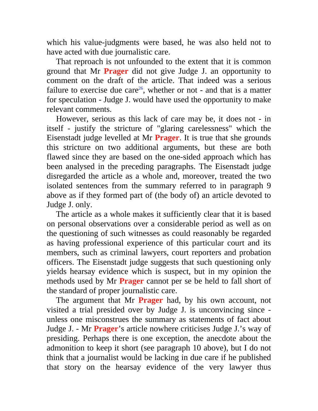which his value-judgments were based, he was also held not to have acted with due journalistic care.

That reproach is not unfounded to the extent that it is common ground that Mr **Prager** did not give Judge J. an opportunity to comment on the draft of the article. That indeed was a serious failure to exercise due care<sup>26</sup>, whether or not - and that is a matter for speculation - Judge J. would have used the opportunity to make relevant comments.

However, serious as this lack of care may be, it does not - in itself - justify the stricture of "glaring carelessness" which the Eisenstadt judge levelled at Mr **Prager**. It is true that she grounds this stricture on two additional arguments, but these are both flawed since they are based on the one-sided approach which has been analysed in the preceding paragraphs. The Eisenstadt judge disregarded the article as a whole and, moreover, treated the two isolated sentences from the summary referred to in paragraph 9 above as if they formed part of (the body of) an article devoted to Judge J. only.

The article as a whole makes it sufficiently clear that it is based on personal observations over a considerable period as well as on the questioning of such witnesses as could reasonably be regarded as having professional experience of this particular court and its members, such as criminal lawyers, court reporters and probation officers. The Eisenstadt judge suggests that such questioning only yields hearsay evidence which is suspect, but in my opinion the methods used by Mr **Prager** cannot per se be held to fall short of the standard of proper journalistic care.

The argument that Mr **Prager** had, by his own account, not visited a trial presided over by Judge J. is unconvincing since unless one misconstrues the summary as statements of fact about Judge J. - Mr **Prager**'s article nowhere criticises Judge J.'s way of presiding. Perhaps there is one exception, the anecdote about the admonition to keep it short (see paragraph 10 above), but I do not think that a journalist would be lacking in due care if he published that story on the hearsay evidence of the very lawyer thus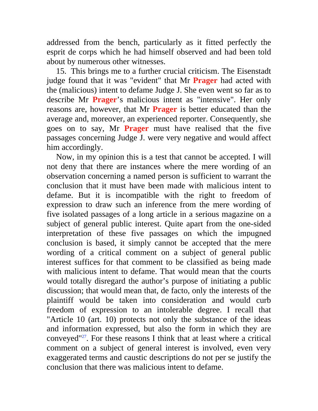addressed from the bench, particularly as it fitted perfectly the esprit de corps which he had himself observed and had been told about by numerous other witnesses.

15. This brings me to a further crucial criticism. The Eisenstadt judge found that it was "evident" that Mr **Prager** had acted with the (malicious) intent to defame Judge J. She even went so far as to describe Mr **Prager**'s malicious intent as "intensive". Her only reasons are, however, that Mr **Prager** is better educated than the average and, moreover, an experienced reporter. Consequently, she goes on to say, Mr **Prager** must have realised that the five passages concerning Judge J. were very negative and would affect him accordingly.

Now, in my opinion this is a test that cannot be accepted. I will not deny that there are instances where the mere wording of an observation concerning a named person is sufficient to warrant the conclusion that it must have been made with malicious intent to defame. But it is incompatible with the right to freedom of expression to draw such an inference from the mere wording of five isolated passages of a long article in a serious magazine on a subject of general public interest. Quite apart from the one-sided interpretation of these five passages on which the impugned conclusion is based, it simply cannot be accepted that the mere wording of a critical comment on a subject of general public interest suffices for that comment to be classified as being made with malicious intent to defame. That would mean that the courts would totally disregard the author's purpose of initiating a public discussion; that would mean that, de facto, only the interests of the plaintiff would be taken into consideration and would curb freedom of expression to an intolerable degree. I recall that "Article 10 (art. 10) protects not only the substance of the ideas and information expressed, but also the form in which they are conveyed"27. For these reasons I think that at least where a critical comment on a subject of general interest is involved, even very exaggerated terms and caustic descriptions do not per se justify the conclusion that there was malicious intent to defame.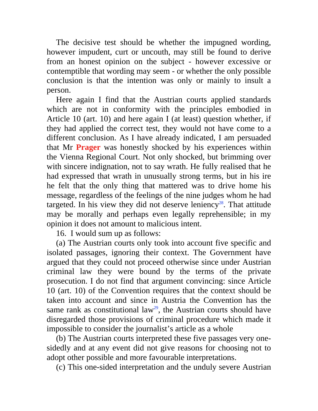The decisive test should be whether the impugned wording, however impudent, curt or uncouth, may still be found to derive from an honest opinion on the subject - however excessive or contemptible that wording may seem - or whether the only possible conclusion is that the intention was only or mainly to insult a person.

Here again I find that the Austrian courts applied standards which are not in conformity with the principles embodied in Article 10 (art. 10) and here again I (at least) question whether, if they had applied the correct test, they would not have come to a different conclusion. As I have already indicated, I am persuaded that Mr **Prager** was honestly shocked by his experiences within the Vienna Regional Court. Not only shocked, but brimming over with sincere indignation, not to say wrath. He fully realised that he had expressed that wrath in unusually strong terms, but in his ire he felt that the only thing that mattered was to drive home his message, regardless of the feelings of the nine judges whom he had targeted. In his view they did not deserve leniency<sup>28</sup>. That attitude may be morally and perhaps even legally reprehensible; in my opinion it does not amount to malicious intent.

16. I would sum up as follows:

(a) The Austrian courts only took into account five specific and isolated passages, ignoring their context. The Government have argued that they could not proceed otherwise since under Austrian criminal law they were bound by the terms of the private prosecution. I do not find that argument convincing: since Article 10 (art. 10) of the Convention requires that the context should be taken into account and since in Austria the Convention has the same rank as constitutional law<sup>29</sup>, the Austrian courts should have disregarded those provisions of criminal procedure which made it impossible to consider the journalist's article as a whole

(b) The Austrian courts interpreted these five passages very onesidedly and at any event did not give reasons for choosing not to adopt other possible and more favourable interpretations.

(c) This one-sided interpretation and the unduly severe Austrian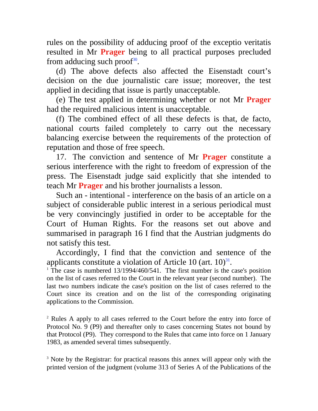rules on the possibility of adducing proof of the exceptio veritatis resulted in Mr **Prager** being to all practical purposes precluded from adducing such proof $30$ .

(d) The above defects also affected the Eisenstadt court's decision on the due journalistic care issue; moreover, the test applied in deciding that issue is partly unacceptable.

(e) The test applied in determining whether or not Mr **Prager** had the required malicious intent is unacceptable.

(f) The combined effect of all these defects is that, de facto, national courts failed completely to carry out the necessary balancing exercise between the requirements of the protection of reputation and those of free speech.

17. The conviction and sentence of Mr **Prager** constitute a serious interference with the right to freedom of expression of the press. The Eisenstadt judge said explicitly that she intended to teach Mr **Prager** and his brother journalists a lesson.

Such an - intentional - interference on the basis of an article on a subject of considerable public interest in a serious periodical must be very convincingly justified in order to be acceptable for the Court of Human Rights. For the reasons set out above and summarised in paragraph 16 I find that the Austrian judgments do not satisfy this test.

Accordingly, I find that the conviction and sentence of the applicants constitute a violation of Article 10 (art.  $10)^{31}$ .

<sup>1</sup> The case is numbered  $13/1994/460/541$ . The first number is the case's position on the list of cases referred to the Court in the relevant year (second number). The last two numbers indicate the case's position on the list of cases referred to the Court since its creation and on the list of the corresponding originating applications to the Commission.

<sup>2</sup> Rules A apply to all cases referred to the Court before the entry into force of Protocol No. 9 (P9) and thereafter only to cases concerning States not bound by that Protocol (P9). They correspond to the Rules that came into force on 1 January 1983, as amended several times subsequently.

<sup>3</sup> Note by the Registrar: for practical reasons this annex will appear only with the printed version of the judgment (volume 313 of Series A of the Publications of the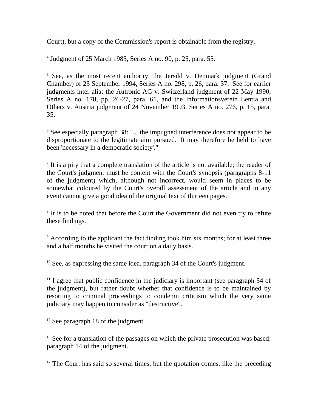Court), but a copy of the Commission's report is obtainable from the registry.

<sup>4</sup> Judgment of 25 March 1985, Series A no. 90, p. 25, para. 55.

 $5$  See, as the most recent authority, the Jersild v. Denmark judgment (Grand Chamber) of 23 September 1994, Series A no. 298, p. 26, para. 37. See for earlier judgments inter alia: the Autronic AG v. Switzerland judgment of 22 May 1990, Series A no. 178, pp. 26-27, para. 61, and the Informationsverein Lentia and Others v. Austria judgment of 24 November 1993, Series A no. 276, p. 15, para. 35.

<sup>6</sup> See especially paragraph 38: "... the impugned interference does not appear to be disproportionate to the legitimate aim pursued. It may therefore be held to have been 'necessary in a democratic society'."

 $<sup>7</sup>$  It is a pity that a complete translation of the article is not available; the reader of</sup> the Court's judgment must be content with the Court's synopsis (paragraphs 8-11 of the judgment) which, although not incorrect, would seem in places to be somewhat coloured by the Court's overall assessment of the article and in any event cannot give a good idea of the original text of thirteen pages.

<sup>8</sup> It is to be noted that before the Court the Government did not even try to refute these findings.

<sup>9</sup> According to the applicant the fact finding took him six months; for at least three and a half months he visited the court on a daily basis.

 $10$  See, as expressing the same idea, paragraph 34 of the Court's judgment.

 $11$  I agree that public confidence in the judiciary is important (see paragraph 34 of the judgment), but rather doubt whether that confidence is to be maintained by resorting to criminal proceedings to condemn criticism which the very same judiciary may happen to consider as "destructive".

 $12$  See paragraph 18 of the judgment.

<sup>13</sup> See for a translation of the passages on which the private prosecution was based: paragraph 14 of the judgment.

 $14$  The Court has said so several times, but the quotation comes, like the preceding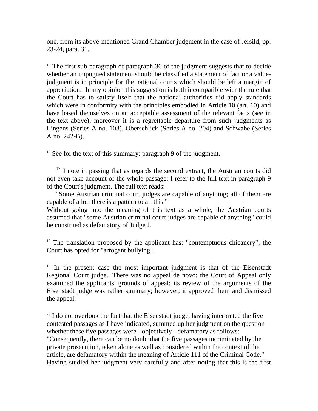one, from its above-mentioned Grand Chamber judgment in the case of Jersild, pp. 23-24, para. 31.

 $15$  The first sub-paragraph of paragraph 36 of the judgment suggests that to decide whether an impugned statement should be classified a statement of fact or a valuejudgment is in principle for the national courts which should be left a margin of appreciation. In my opinion this suggestion is both incompatible with the rule that the Court has to satisfy itself that the national authorities did apply standards which were in conformity with the principles embodied in Article 10 (art. 10) and have based themselves on an acceptable assessment of the relevant facts (see in the text above); moreover it is a regrettable departure from such judgments as Lingens (Series A no. 103), Oberschlick (Series A no. 204) and Schwabe (Series A no. 242-B).

<sup>16</sup> See for the text of this summary: paragraph 9 of the judgment.

 $17$  I note in passing that as regards the second extract, the Austrian courts did not even take account of the whole passage: I refer to the full text in paragraph 9 of the Court's judgment. The full text reads:

"Some Austrian criminal court judges are capable of anything; all of them are capable of a lot: there is a pattern to all this."

Without going into the meaning of this text as a whole, the Austrian courts assumed that "some Austrian criminal court judges are capable of anything" could be construed as defamatory of Judge J.

<sup>18</sup> The translation proposed by the applicant has: "contemptuous chicanery"; the Court has opted for "arrogant bullying".

<sup>19</sup> In the present case the most important judgment is that of the Eisenstadt Regional Court judge. There was no appeal de novo; the Court of Appeal only examined the applicants' grounds of appeal; its review of the arguments of the Eisenstadt judge was rather summary; however, it approved them and dismissed the appeal.

 $20$  I do not overlook the fact that the Eisenstadt judge, having interpreted the five contested passages as I have indicated, summed up her judgment on the question whether these five passages were - objectively - defamatory as follows: "Consequently, there can be no doubt that the five passages incriminated by the private prosecution, taken alone as well as considered within the context of the article, are defamatory within the meaning of Article 111 of the Criminal Code." Having studied her judgment very carefully and after noting that this is the first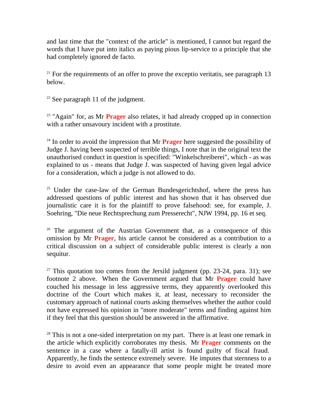and last time that the "context of the article" is mentioned, I cannot but regard the words that I have put into italics as paying pious lip-service to a principle that she had completely ignored de facto.

 $21$  For the requirements of an offer to prove the exceptio veritatis, see paragraph 13 below.

 $22$  See paragraph 11 of the judgment.

<sup>23</sup> "Again" for, as Mr **Prager** also relates, it had already cropped up in connection with a rather unsavoury incident with a prostitute.

<sup>24</sup> In order to avoid the impression that Mr **Prager** here suggested the possibility of Judge J. having been suspected of terrible things, I note that in the original text the unauthorised conduct in question is specified: "Winkelschreiberei", which - as was explained to us - means that Judge J. was suspected of having given legal advice for a consideration, which a judge is not allowed to do.

 $25$  Under the case-law of the German Bundesgerichtshof, where the press has addressed questions of public interest and has shown that it has observed due journalistic care it is for the plaintiff to prove falsehood: see, for example, J. Soehring, "Die neue Rechtsprechung zum Presserecht", NJW 1994, pp. 16 et seq.

<sup>26</sup> The argument of the Austrian Government that, as a consequence of this omission by Mr **Prager**, his article cannot be considered as a contribution to a critical discussion on a subject of considerable public interest is clearly a non sequitur.

<sup>27</sup> This quotation too comes from the Jersild judgment (pp. 23-24, para. 31); see footnote 2 above. When the Government argued that Mr **Prager** could have couched his message in less aggressive terms, they apparently overlooked this doctrine of the Court which makes it, at least, necessary to reconsider the customary approach of national courts asking themselves whether the author could not have expressed his opinion in "more moderate" terms and finding against him if they feel that this question should be answered in the affirmative.

 $28$  This is not a one-sided interpretation on my part. There is at least one remark in the article which explicitly corroborates my thesis. Mr **Prager** comments on the sentence in a case where a fatally-ill artist is found guilty of fiscal fraud. Apparently, he finds the sentence extremely severe. He imputes that sternness to a desire to avoid even an appearance that some people might be treated more